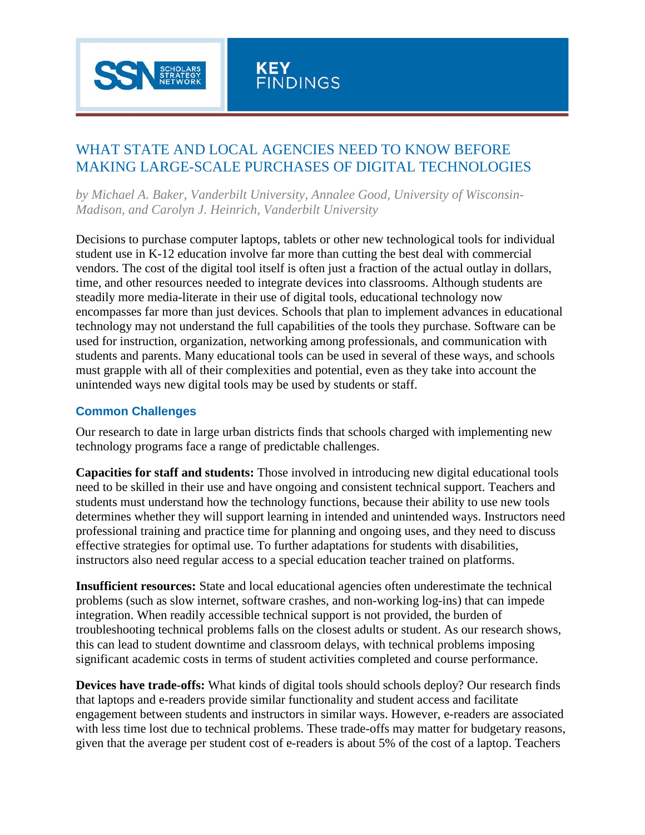

## WHAT STATE AND LOCAL AGENCIES NEED TO KNOW BEFORE MAKING LARGE-SCALE PURCHASES OF DIGITAL TECHNOLOGIES

*by Michael A. Baker, Vanderbilt University, Annalee Good, University of Wisconsin-Madison, and Carolyn J. Heinrich, Vanderbilt University*

Decisions to purchase computer laptops, tablets or other new technological tools for individual student use in K-12 education involve far more than cutting the best deal with commercial vendors. The cost of the digital tool itself is often just a fraction of the actual outlay in dollars, time, and other resources needed to integrate devices into classrooms. Although students are steadily more media-literate in their use of digital tools, educational technology now encompasses far more than just devices. Schools that plan to implement advances in educational technology may not understand the full capabilities of the tools they purchase. Software can be used for instruction, organization, networking among professionals, and communication with students and parents. Many educational tools can be used in several of these ways, and schools must grapple with all of their complexities and potential, even as they take into account the unintended ways new digital tools may be used by students or staff.

## **Common Challenges**

Our research to date in large urban districts finds that schools charged with implementing new technology programs face a range of predictable challenges.

**Capacities for staff and students:** Those involved in introducing new digital educational tools need to be skilled in their use and have ongoing and consistent technical support. Teachers and students must understand how the technology functions, because their ability to use new tools determines whether they will support learning in intended and unintended ways. Instructors need professional training and practice time for planning and ongoing uses, and they need to discuss effective strategies for optimal use. To further adaptations for students with disabilities, instructors also need regular access to a special education teacher trained on platforms.

**Insufficient resources:** State and local educational agencies often underestimate the technical problems (such as slow internet, software crashes, and non-working log-ins) that can impede integration. When readily accessible technical support is not provided, the burden of troubleshooting technical problems falls on the closest adults or student. As our research shows, this can lead to student downtime and classroom delays, with technical problems imposing significant academic costs in terms of student activities completed and course performance.

**Devices have trade-offs:** What kinds of digital tools should schools deploy? Our research finds that laptops and e-readers provide similar functionality and student access and facilitate engagement between students and instructors in similar ways. However, e-readers are associated with less time lost due to technical problems. These trade-offs may matter for budgetary reasons, given that the average per student cost of e-readers is about 5% of the cost of a laptop. Teachers